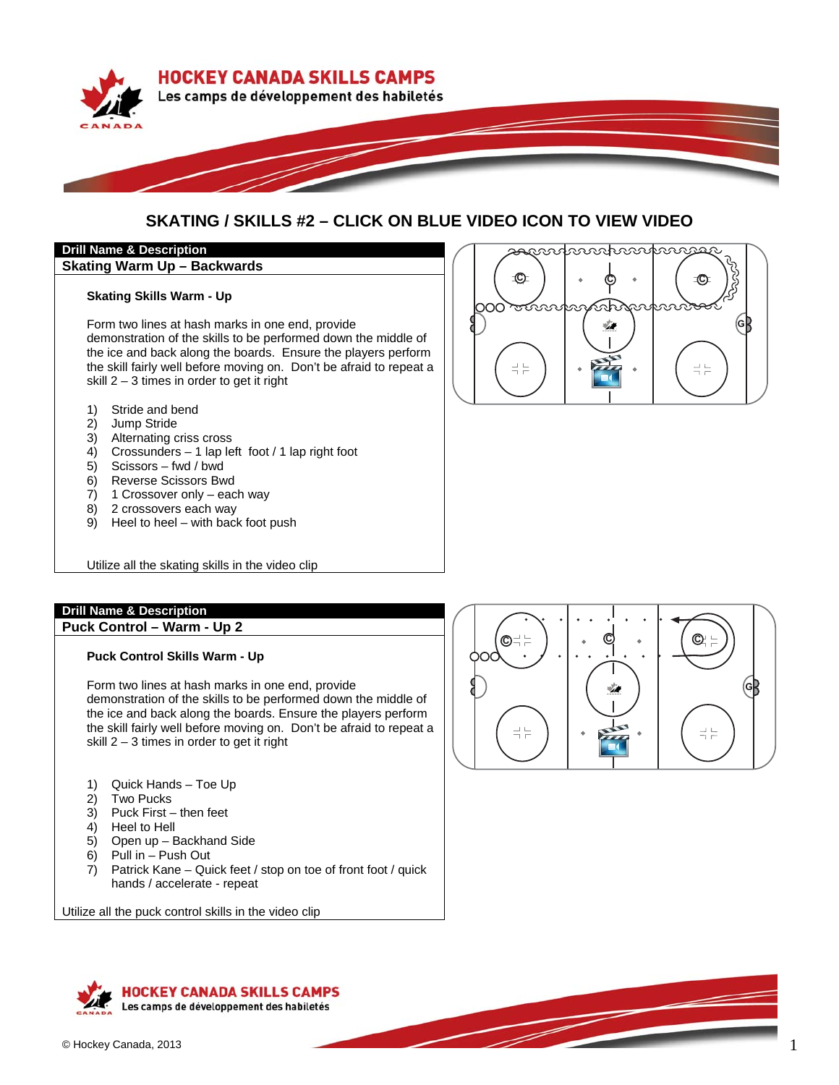

# **SKATING / SKILLS #2 – CLICK ON BLUE VIDEO ICON TO VIEW VIDEO**

റററ

## **Drill Name & Description**

## **Skating Warm Up – Backwards**

#### **Skating Skills Warm - Up**

Form two lines at hash marks in one end, provide demonstration of the skills to be performed down the middle of the ice and back along the boards. Ensure the players perform the skill fairly well before moving on. Don't be afraid to repeat a skill 2 – 3 times in order to get it right

- 1) Stride and bend
- 2) Jump Stride
- 3) Alternating criss cross
- 4) Crossunders 1 lap left foot / 1 lap right foot
- 5) Scissors fwd / bwd
- 6) Reverse Scissors Bwd
- 7) 1 Crossover only each way
- 8) 2 crossovers each way
- 9) Heel to heel with back foot push

Utilize all the skating skills in the video clip

## **Drill Name & Description**

**Puck Control – Warm - Up 2** 

## **Puck Control Skills Warm - Up**

Form two lines at hash marks in one end, provide demonstration of the skills to be performed down the middle of the ice and back along the boards. Ensure the players perform the skill fairly well before moving on. Don't be afraid to repeat a skill 2 – 3 times in order to get it right

- 1) Quick Hands Toe Up
- 2) Two Pucks
- 3) Puck First then feet
- 4) Heel to Hell
- 5) Open up Backhand Side
- 6) Pull in Push Out
- 7) Patrick Kane Quick feet / stop on toe of front foot / quick hands / accelerate - repeat

Utilize all the puck control skills in the video clip



P

saandnnahmannas



**-**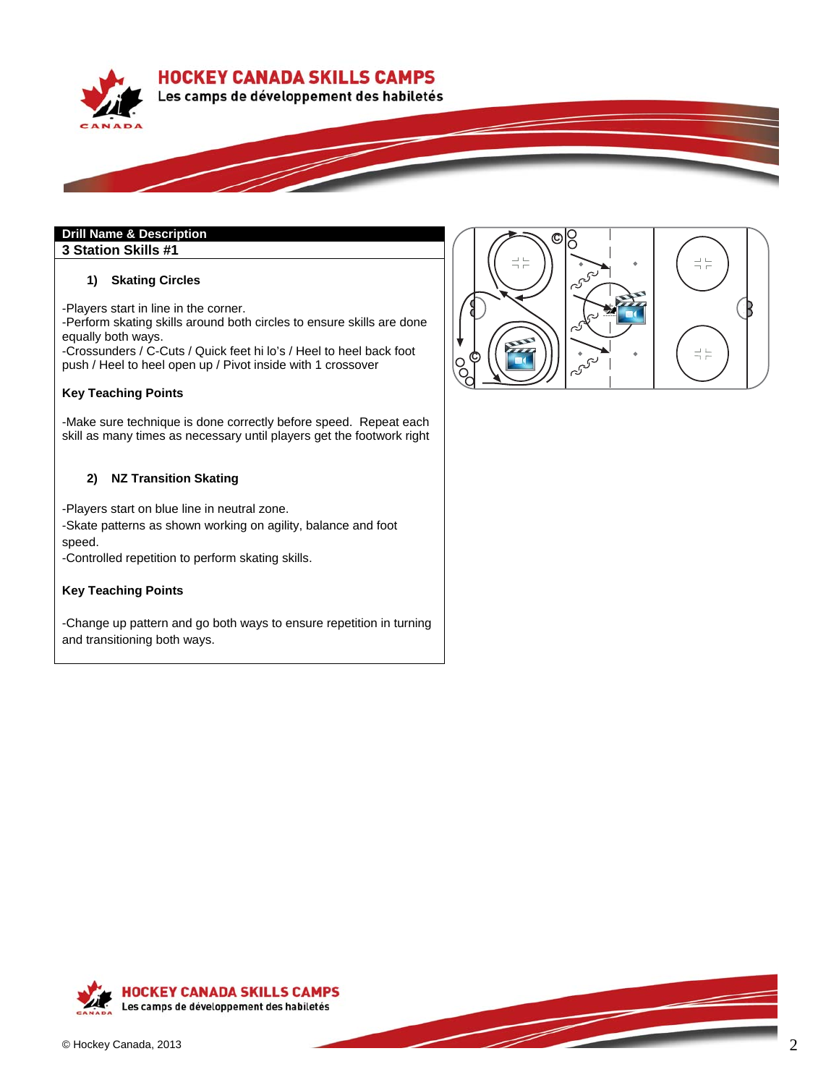**HOCKEY CANADA SKILLS CAMPS** 





**3 Station Skills #1** 

#### **1) Skating Circles**

-Players start in line in the corner.

-Perform skating skills around both circles to ensure skills are done equally both ways.

-Crossunders / C-Cuts / Quick feet hi lo's / Heel to heel back foot push / Heel to heel open up / Pivot inside with 1 crossover

#### **Key Teaching Points**

-Make sure technique is done correctly before speed. Repeat each skill as many times as necessary until players get the footwork right

## **2) NZ Transition Skating**

-Players start on blue line in neutral zone.

-Skate patterns as shown working on agility, balance and foot speed.

-Controlled repetition to perform skating skills.

#### **Key Teaching Points**

-Change up pattern and go both ways to ensure repetition in turning and transitioning both ways.



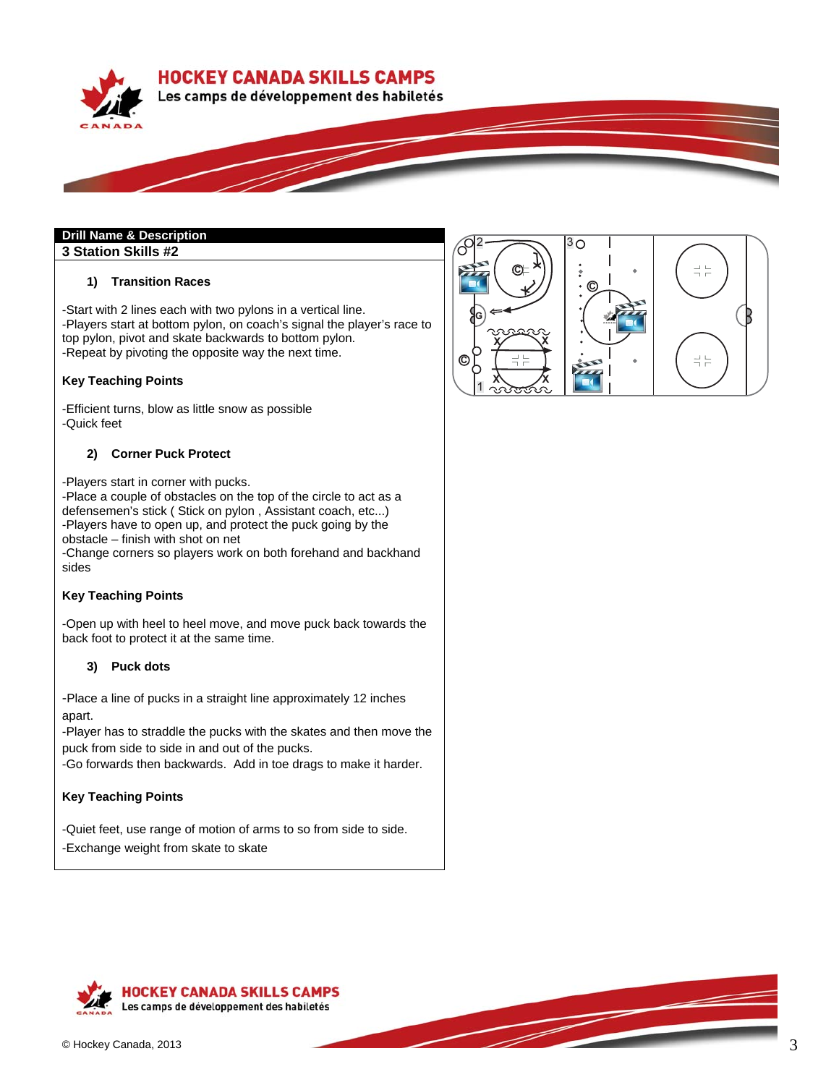**HOCKEY CANADA SKILLS CAMPS** 





# **Drill Name & Description**

**3 Station Skills #2** 

## **1) Transition Races**

-Start with 2 lines each with two pylons in a vertical line. -Players start at bottom pylon, on coach's signal the player's race to top pylon, pivot and skate backwards to bottom pylon. -Repeat by pivoting the opposite way the next time.

#### **Key Teaching Points**

-Efficient turns, blow as little snow as possible -Quick feet

#### **2) Corner Puck Protect**

-Players start in corner with pucks.

-Place a couple of obstacles on the top of the circle to act as a defensemen's stick ( Stick on pylon , Assistant coach, etc...) -Players have to open up, and protect the puck going by the obstacle – finish with shot on net

-Change corners so players work on both forehand and backhand sides

## **Key Teaching Points**

-Open up with heel to heel move, and move puck back towards the back foot to protect it at the same time.

## **3) Puck dots**

-Place a line of pucks in a straight line approximately 12 inches apart.

-Player has to straddle the pucks with the skates and then move the puck from side to side in and out of the pucks.

-Go forwards then backwards. Add in toe drags to make it harder.

## **Key Teaching Points**

-Quiet feet, use range of motion of arms to so from side to side. -Exchange weight from skate to skate